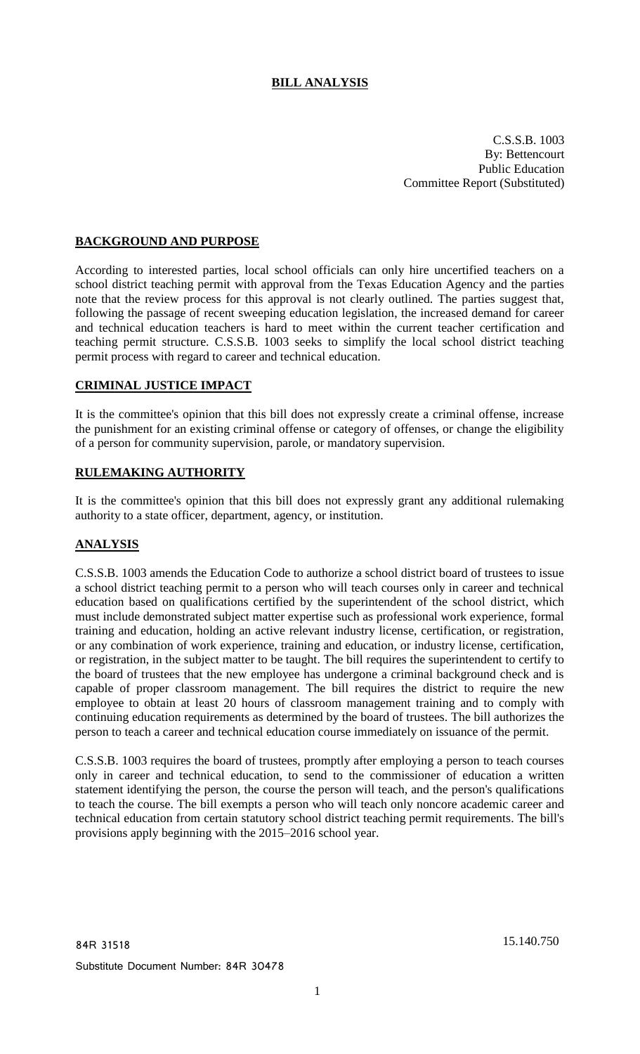# **BILL ANALYSIS**

C.S.S.B. 1003 By: Bettencourt Public Education Committee Report (Substituted)

## **BACKGROUND AND PURPOSE**

According to interested parties, local school officials can only hire uncertified teachers on a school district teaching permit with approval from the Texas Education Agency and the parties note that the review process for this approval is not clearly outlined. The parties suggest that, following the passage of recent sweeping education legislation, the increased demand for career and technical education teachers is hard to meet within the current teacher certification and teaching permit structure. C.S.S.B. 1003 seeks to simplify the local school district teaching permit process with regard to career and technical education.

### **CRIMINAL JUSTICE IMPACT**

It is the committee's opinion that this bill does not expressly create a criminal offense, increase the punishment for an existing criminal offense or category of offenses, or change the eligibility of a person for community supervision, parole, or mandatory supervision.

## **RULEMAKING AUTHORITY**

It is the committee's opinion that this bill does not expressly grant any additional rulemaking authority to a state officer, department, agency, or institution.

### **ANALYSIS**

C.S.S.B. 1003 amends the Education Code to authorize a school district board of trustees to issue a school district teaching permit to a person who will teach courses only in career and technical education based on qualifications certified by the superintendent of the school district, which must include demonstrated subject matter expertise such as professional work experience, formal training and education, holding an active relevant industry license, certification, or registration, or any combination of work experience, training and education, or industry license, certification, or registration, in the subject matter to be taught. The bill requires the superintendent to certify to the board of trustees that the new employee has undergone a criminal background check and is capable of proper classroom management. The bill requires the district to require the new employee to obtain at least 20 hours of classroom management training and to comply with continuing education requirements as determined by the board of trustees. The bill authorizes the person to teach a career and technical education course immediately on issuance of the permit.

C.S.S.B. 1003 requires the board of trustees, promptly after employing a person to teach courses only in career and technical education, to send to the commissioner of education a written statement identifying the person, the course the person will teach, and the person's qualifications to teach the course. The bill exempts a person who will teach only noncore academic career and technical education from certain statutory school district teaching permit requirements. The bill's provisions apply beginning with the 2015–2016 school year.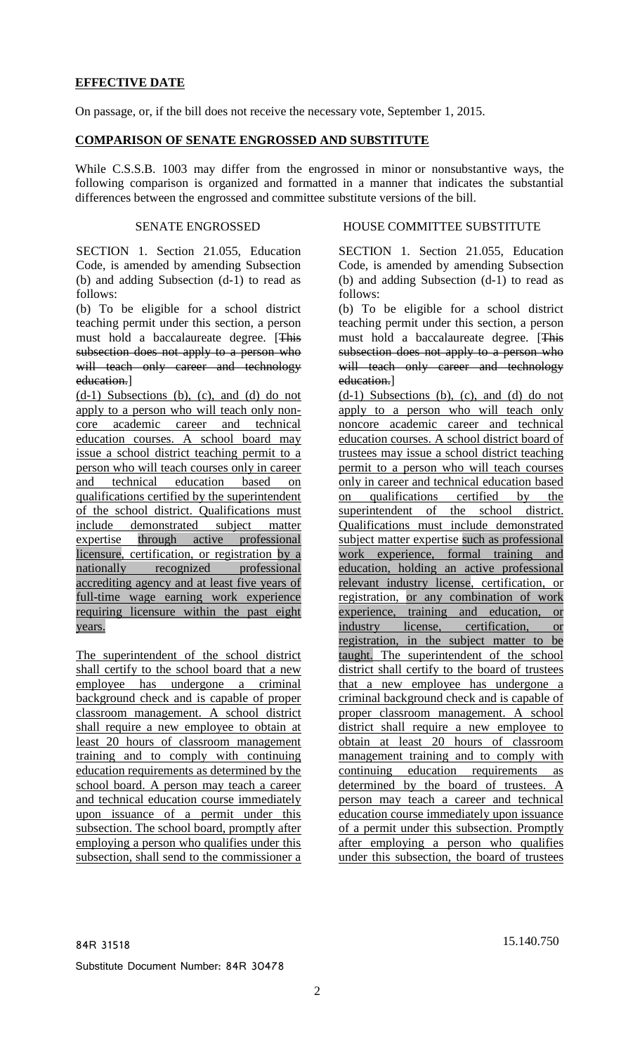## **EFFECTIVE DATE**

On passage, or, if the bill does not receive the necessary vote, September 1, 2015.

#### **COMPARISON OF SENATE ENGROSSED AND SUBSTITUTE**

While C.S.S.B. 1003 may differ from the engrossed in minor or nonsubstantive ways, the following comparison is organized and formatted in a manner that indicates the substantial differences between the engrossed and committee substitute versions of the bill.

SECTION 1. Section 21.055, Education Code, is amended by amending Subsection (b) and adding Subsection (d-1) to read as follows:

(b) To be eligible for a school district teaching permit under this section, a person must hold a baccalaureate degree. [This subsection does not apply to a person who will teach only career and technology education.]

 $(d-1)$  Subsections (b), (c), and (d) do not apply to a person who will teach only noncore academic career and technical education courses. A school board may issue a school district teaching permit to a person who will teach courses only in career and technical education based on qualifications certified by the superintendent of the school district. Qualifications must include demonstrated subject matter expertise through active professional licensure, certification, or registration by a nationally recognized professional accrediting agency and at least five years of full-time wage earning work experience requiring licensure within the past eight years.

The superintendent of the school district shall certify to the school board that a new employee has undergone a criminal background check and is capable of proper classroom management. A school district shall require a new employee to obtain at least 20 hours of classroom management training and to comply with continuing education requirements as determined by the school board. A person may teach a career and technical education course immediately upon issuance of a permit under this subsection. The school board, promptly after employing a person who qualifies under this subsection, shall send to the commissioner a

#### SENATE ENGROSSED HOUSE COMMITTEE SUBSTITUTE

SECTION 1. Section 21.055, Education Code, is amended by amending Subsection (b) and adding Subsection (d-1) to read as follows:

(b) To be eligible for a school district teaching permit under this section, a person must hold a baccalaureate degree. [This subsection does not apply to a person who will teach only career and technology education.]

 $(d-1)$  Subsections (b), (c), and (d) do not apply to a person who will teach only noncore academic career and technical education courses. A school district board of trustees may issue a school district teaching permit to a person who will teach courses only in career and technical education based on qualifications certified by the superintendent of the school district. Qualifications must include demonstrated subject matter expertise such as professional work experience, formal training and education, holding an active professional relevant industry license, certification, or registration, or any combination of work experience, training and education, or industry license, certification, or registration, in the subject matter to be taught. The superintendent of the school district shall certify to the board of trustees that a new employee has undergone a criminal background check and is capable of proper classroom management. A school district shall require a new employee to obtain at least 20 hours of classroom management training and to comply with continuing education requirements as determined by the board of trustees. A person may teach a career and technical education course immediately upon issuance of a permit under this subsection. Promptly after employing a person who qualifies under this subsection, the board of trustees